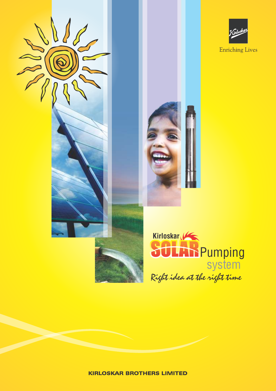





**KIRLOSKAR BROTHERS LIMITED**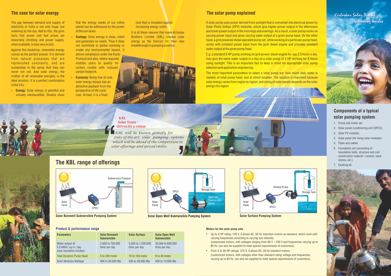

Solar Borewell Submersible Pumping System

# Storage Tank Pane

Solar Open Well Submersible Pumping System

# Surface Pum Solar Panel SPCU

# Product & performance range

| <b>Parameters</b>                                                 | <b>Solar Borewell</b><br><b>Submersible</b> | <b>Solar Surface</b>                 | <b>Solar Open Well</b><br><b>Submersible</b> |
|-------------------------------------------------------------------|---------------------------------------------|--------------------------------------|----------------------------------------------|
| Water output @<br>5.5 kWhr/sq.m./day<br>solar insolation incident | 2,500 to 750,000<br>litres per day          | 5,000 to 1,200,000<br>litres per day | 35,000 to 600,000<br>litres per day          |
| <b>Total Dynamic Pump Head</b>                                    | 5 to 200 meter                              | 10 to 150 meter                      | 8 to 40 meter                                |
| Solar Modules Wattage                                             | 500 to 30,000 Wp                            | 500 to 28,000 Wp                     | 500 to 10,000 Wp                             |

• Energy: Solar energy is plentiful and virtually inexhaustible. Studies show

The gap between demand and supply of electricity in India is not only huge, but widening by the day. Add to this, the grim facts that power and fuel prices are inexorably climbing and power supply, when available, is also very erratic.

Against this backdrop, renewable energy comes as the perfect answer. It is derived from natural processes that are replenished constantly, and are sustainable in the sense that they can never run out. And solar energy, the mother of all renewable energies, is the ideal solution. It is a perfect combination of the 3 Es:

- **Ecology:** Solar energy is clean, silent and generates no waste. Thus it does not contribute to global warming or create any environmental hazard. It allows compliance under the Kyoto Protocol and also, where required, enables users to qualify for carbon credits with reduced carbon footprint.
- **Economy: Being free of cost,** solar energy always has an attractive payback from the perspective of life cycle cost. At best, it is a fixed

It is all these reasons that made Kirloskar Brothers Limited (KBL) choose solar energy as the fulcrum for their new breakthrough in pumping systems.



# The case for solar energy

# KBL Solar Team driven by a vision

A solar pump uses power derived from sunlight that is converted into electrical power by Solar Photo Voltaic (SPV) modules, which give higher power output in the afternoons and lower power output in the mornings and evenings. As a result, a solar pump works on varying power input and gives varying water output at a given pump head. On the other hand, a grid powered/ diesel operated pump set, while working at a particular pump head, works with constant power input from the grid/ diesel engine and provides constant water output at the given pump head.

*KBL will be known globally for state-of-the-art solar pumping systems which will be ahead of the competition in solar offerings and spread smiles.*

that the energy needs of our entire planet can be addressed by the power of the sun alone.

cost that is insulated against increasing energy costs.

# The KBL range of offerings

Solar Surface Pumping System

- Up to 2 HP rating: 120 V, 3-phase AC, 50 Hz induction motors as standard, which work with  $\overline{\phantom{a}}$ varying frequencies according to varying sun intensity. (customized motors, with voltages ranging from 90 V – 230 V and frequencies varying up to 85 Hz, can also be supplied to meet special requirements of customers).
- · From 3 to 30 HP ratings: 415 V, 3-phase AC, 50 Hz standard motors. (customized motors, with voltages other than standard rating voltage and frequencies varying up to 85 Hz, can also be supplied to meet special requirements of customers).

# Components of a typical solar pumping system

- 1. Pump and motor set
- 2. Solar power conditioning unit (SPCU)
- 3. Solar PV modules
- 4. Solar panel (for fixing solar modules)
- 5. Pipes and cables
- 6. Foundation set (consisting of foundation bolts, structure and civil construction material - cement, sand, stones, etc.)
- 7. Earthing kit





E.g. a standard 5 HP pump working on grid power/ diesel engine for, say 2.5 hours a day, may give the same water output in a day as a solar pump of 3 HP working for 8 hours using sunlight. This is an important fact to keep in mind for appropriate solar pump selection and application engineering.

The most important parameters to select a solar pump are: how much daily water is needed, at what pump head, and at which location. The location is important because solar energy varies from region to region, and sizing of solar panels depends on the solar energy of a region.





# The solar pump explained

# Motors for the solar pump sets :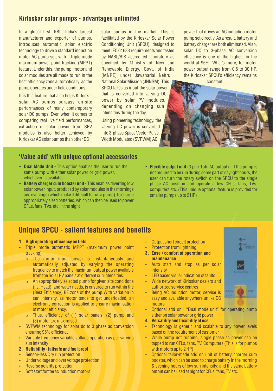# Kirloskar solar pumps - advantages unlimited

In a global first, KBL, India's largest manufacturer and exporter of pumps, introduces automatic solar electric technology to drive a standard induction motor AC pump set, with a triple mode maximum power point tracking (MPPT) feature. Under this, the pump, motor and solar modules are all made to run in the best efficiency zone automatically, as the pump operates under field conditions.

It is this feature that also helps Kirloskar solar AC pumps surpass on-site performances of many contemporary solar DC pumps. Even when it comes to comparing real live field performances, extraction of solar power from SPV modules is also better achieved by Kirloskar AC solar pumps than other DC

solar pumps in the market. This is facilitated by the Kirloskar Solar Power Conditioning Unit (SPCU), designed to meet IEC 61683 requirements and tested by NABL/BIS accredited laboratory as specified by Ministry of New and Renewable Energy, Govt. of India (MNRE) under Jawaharlal Nehru National Solar Mission (JNNSM). This SPCU takes as input the solar power that is converted into varying DC power by solar PV modules, depending on changing sun intensities during the day.

Using pioneering technology, the varying DC power is converted into 3-phase Space Vector Pulse Width Modulated (SVPWM) AC

power that drives an AC induction motor pump set directly. As a result, battery and battery charger are both eliminated. Also, solar DC to 3-phase AC conversion efficiency is one of the highest in the world at 95%. What's more, for motor power output range from 0.5 to 30 HP, the Kirloskar SPCU's efficiency remains constant.



# 'Value add' with unique optional accessories

- Dual Mode Unit This option enables the user to run the same pump with either solar power or grid power. whichever is available.
- Battery charger cum booster unit This enables diverting low solar power input, produced by solar modules in the mornings and evenings (which make it difficult to run a pump), to charge appropriately sized batteries, which can then be used to power CFLs, fans, TVs, etc. in the night
- Flexible output unit (3 ph./ 1ph. AC output) If the pump is not required to be run during some part of daylight hours, the user can turn the rotary switch on the SPCU to the single phase AC position and operate a few CFLs, fans, TVs, computers etc. (This unique optional feature is provided for smaller pumps up to 2 HP)

# Unique SPCU - salient features and benefits

# 1 High operating efficiency on field

- Triple mode automatic MPPT (maximum power point tracking)
	- ¦ The motor input power is instantaneously and automatically adjusted by varying the operating frequency to match the maximum output power available from the Solar PV panels at different sun intensities.
	- $\circ$  An appropriately selected pump for given site conditions (i.e. Head) and water needs, is ensured to run within the (Best Efficiency) BE zone of the pump With variation in sun intensity, as motor tends to get underloaded, an electronic correction is applied to ensure maximisation of motor efficiency.
	- $\circ$  Thus, efficiency of (1) solar panels, (2) pump and (3) motor are maximised
- SVPWM technology for solar dc to 3 phase ac conversion ensuring 95% efficiency
- Variable frequency variable voltage operation as per varying sun intensity

# 2. Reliability - failsafe and fool proof

- Sensor-less Dry run protection
- Under voltage and over voltage protection
- Reverse polarity protection
- Soft start for the ac induction motors
- Output short circuit protection
- **Protection from lightning**
- 3. Ease / comfort of operation and maintenance
- Auto start and stop as per solar intensity
- **LED based visual indication of faults**
- Wide network of Kirloskar dealers and authorized service centres
- Being AC induction motor, service is easy and available anywhere unlike DC motors



# 4. Versatility and flexibility of use

- Technology is generic and scalable to any power levels based on the requirement of customer
- While pump not running, single phase ac power can be tapped to run CFLs, fans, TV, Computers (This is for pumps with motors up to 2 HP)
- Optional tailor-made add on unit of battery charger cum booster, which can be used to charge battery in the morning & evening hours of low sun intensity; and the same battery output can be used at night for CFLs, fans, TV etc.

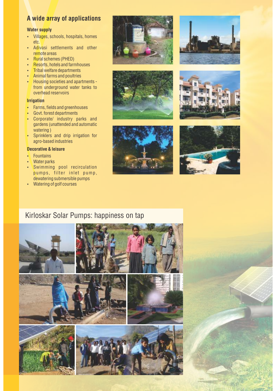# A wide array of applications

# Water supply

- Villages, schools, hospitals, homes etc.
- Adivasi settlements and other remote areas
- Rural schemes (PHED)
- Resorts, hotels and farmhouses
- $\cdot$  Tribal welfare departments
- $\bullet$  Animal farms and poultries
- Housing societies and apartments from underground water tanks to overhead reservoirs

# **Irrigation**

- $\cdot$  Farms, fields and greenhouses
- $\cdot$  Govt. forest departments
- Corporate/ industry parks and gardens (unattended and automatic watering )
- Sprinklers and drip irrigation for agro-based industries

# Decorative & leisure

- $\cdot$  Fountains
- **Water parks**
- Swimming pool recirculation pumps, filter inlet pump, dewatering submersible pumps
- Watering of golf courses













# Kirloskar Solar Pumps: happiness on tap